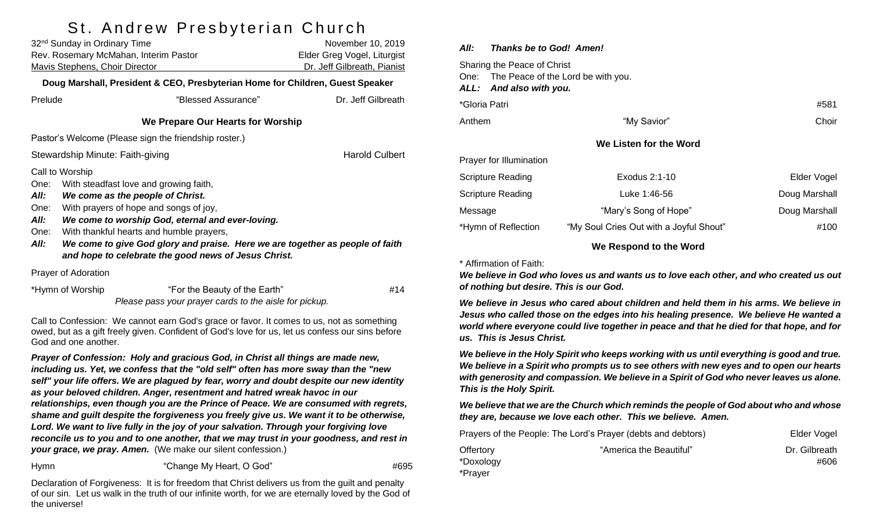# St. Andrew Presbyterian Church

| 32 <sup>nd</sup> Sunday in Ordinary Time<br>Rev. Rosemary McMahan, Interim Pastor<br><b>Mavis Stephens, Choir Director</b>                                                                                                                                                                                                                                                                                                       |                  |                               | November 10, 2019<br>Elder Greg Vogel, Liturgist<br>Dr. Jeff Gilbreath, Pianist |  |  |  |  |
|----------------------------------------------------------------------------------------------------------------------------------------------------------------------------------------------------------------------------------------------------------------------------------------------------------------------------------------------------------------------------------------------------------------------------------|------------------|-------------------------------|---------------------------------------------------------------------------------|--|--|--|--|
| Doug Marshall, President & CEO, Presbyterian Home for Children, Guest Speaker                                                                                                                                                                                                                                                                                                                                                    |                  |                               |                                                                                 |  |  |  |  |
| Prelude                                                                                                                                                                                                                                                                                                                                                                                                                          |                  | "Blessed Assurance"           | Dr. Jeff Gilbreath                                                              |  |  |  |  |
| We Prepare Our Hearts for Worship                                                                                                                                                                                                                                                                                                                                                                                                |                  |                               |                                                                                 |  |  |  |  |
| Pastor's Welcome (Please sign the friendship roster.)                                                                                                                                                                                                                                                                                                                                                                            |                  |                               |                                                                                 |  |  |  |  |
| <b>Harold Culbert</b><br>Stewardship Minute: Faith-giving                                                                                                                                                                                                                                                                                                                                                                        |                  |                               |                                                                                 |  |  |  |  |
| Call to Worship<br>One:<br>With steadfast love and growing faith,<br>We come as the people of Christ.<br>All:<br>With prayers of hope and songs of joy,<br>One:<br>All:<br>We come to worship God, eternal and ever-loving.<br>With thankful hearts and humble prayers,<br>One:<br>All:<br>We come to give God glory and praise. Here we are together as people of faith<br>and hope to celebrate the good news of Jesus Christ. |                  |                               |                                                                                 |  |  |  |  |
| Prayer of Adoration                                                                                                                                                                                                                                                                                                                                                                                                              |                  |                               |                                                                                 |  |  |  |  |
|                                                                                                                                                                                                                                                                                                                                                                                                                                  | *Hymn of Worship | "For the Beauty of the Earth" | #14                                                                             |  |  |  |  |

Call to Confession: We cannot earn God's grace or favor. It comes to us, not as something owed, but as a gift freely given. Confident of God's love for us, let us confess our sins before God and one another.

*Please pass your prayer cards to the aisle for pickup.*

*Prayer of Confession: Holy and gracious God, in Christ all things are made new, including us. Yet, we confess that the "old self" often has more sway than the "new self" your life offers. We are plagued by fear, worry and doubt despite our new identity as your beloved children. Anger, resentment and hatred wreak havoc in our relationships, even though you are the Prince of Peace. We are consumed with regrets, shame and guilt despite the forgiveness you freely give us. We want it to be otherwise, Lord. We want to live fully in the joy of your salvation. Through your forgiving love reconcile us to you and to one another, that we may trust in your goodness, and rest in your grace, we pray. Amen.* (We make our silent confession.)

Hymn "Change My Heart, O God" #695

Declaration of Forgiveness: It is for freedom that Christ delivers us from the guilt and penalty of our sin. Let us walk in the truth of our infinite worth, for we are eternally loved by the God of the universe!

| Thanks be to God! Amen!<br>All:                                                                   |                                                                                                                                                                                                                                |               |
|---------------------------------------------------------------------------------------------------|--------------------------------------------------------------------------------------------------------------------------------------------------------------------------------------------------------------------------------|---------------|
| Sharing the Peace of Christ<br>One: The Peace of the Lord be with you.<br>ALL: And also with you. |                                                                                                                                                                                                                                |               |
| *Gloria Patri                                                                                     |                                                                                                                                                                                                                                | #581          |
| Anthem                                                                                            | "My Savior"                                                                                                                                                                                                                    | Choir         |
|                                                                                                   | We Listen for the Word                                                                                                                                                                                                         |               |
| Prayer for Illumination                                                                           |                                                                                                                                                                                                                                |               |
| <b>Scripture Reading</b>                                                                          | Exodus 2:1-10                                                                                                                                                                                                                  | Elder Vogel   |
| <b>Scripture Reading</b>                                                                          | Luke 1:46-56                                                                                                                                                                                                                   | Doug Marshall |
| Message                                                                                           | "Mary's Song of Hope"                                                                                                                                                                                                          | Doug Marshall |
| *Hymn of Reflection                                                                               | "My Soul Cries Out with a Joyful Shout"                                                                                                                                                                                        | #100          |
|                                                                                                   | Materia e este establecido e Material de la contrata de la contrata de la contrata de la contrata de la contrata de la contrata de la contrata de la contrata de la contrata de la contrata de la contrata de la contrata de l |               |

#### **We Respond to the Word**

#### \* Affirmation of Faith:

*We believe in God who loves us and wants us to love each other, and who created us out of nothing but desire. This is our God.* 

*We believe in Jesus who cared about children and held them in his arms. We believe in Jesus who called those on the edges into his healing presence. We believe He wanted a world where everyone could live together in peace and that he died for that hope, and for us. This is Jesus Christ.* 

*We believe in the Holy Spirit who keeps working with us until everything is good and true. We believe in a Spirit who prompts us to see others with new eyes and to open our hearts with generosity and compassion. We believe in a Spirit of God who never leaves us alone. This is the Holy Spirit.* 

*We believe that we are the Church which reminds the people of God about who and whose they are, because we love each other. This we believe. Amen.*

| Prayers of the People: The Lord's Prayer (debts and debtors) | Elder Vogel             |               |
|--------------------------------------------------------------|-------------------------|---------------|
| Offertory                                                    | "America the Beautiful" | Dr. Gilbreath |
| *Doxology                                                    |                         | #606          |
| *Prayer                                                      |                         |               |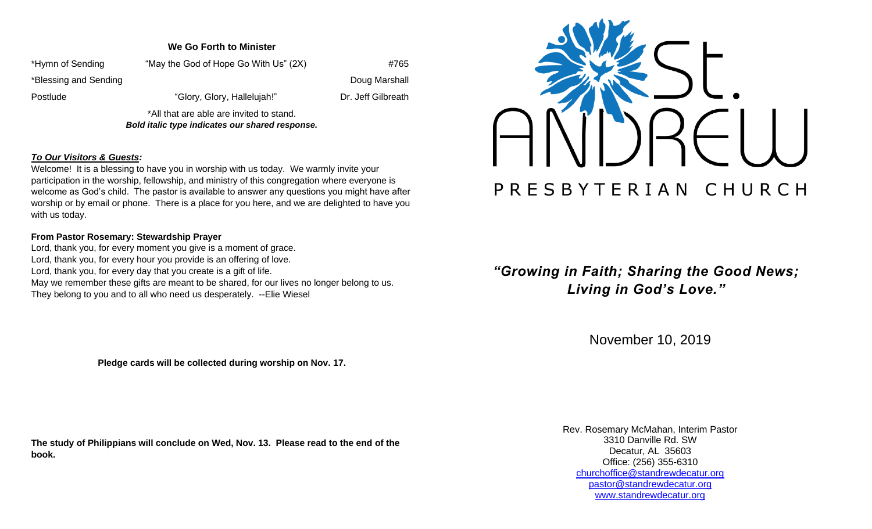### **We Go Forth to Minister**

| *Hymn of Sending      | "May the God of Hope Go With Us" (2X)    | #765               |
|-----------------------|------------------------------------------|--------------------|
| *Blessing and Sending |                                          | Doug Marshall      |
| Postlude              | "Glory, Glory, Hallelujah!"              | Dr. Jeff Gilbreath |
|                       | *All that are able are invited to stand. |                    |

*Bold italic type indicates our shared response.*

#### *To Our Visitors & Guests:*

Welcome! It is a blessing to have you in worship with us today. We warmly invite your participation in the worship, fellowship, and ministry of this congregation where everyone is welcome as God's child. The pastor is available to answer any questions you might have after worship or by email or phone. There is a place for you here, and we are delighted to have you with us today.

#### **From Pastor Rosemary: Stewardship Prayer**

Lord, thank you, for every moment you give is a moment of grace. Lord, thank you, for every hour you provide is an offering of love. Lord, thank you, for every day that you create is a gift of life. May we remember these gifts are meant to be shared, for our lives no longer belong to us. They belong to you and to all who need us desperately. --Elie Wiesel

**Pledge cards will be collected during worship on Nov. 17.**

**The study of Philippians will conclude on Wed, Nov. 13. Please read to the end of the book.**



*"Growing in Faith; Sharing the Good News; Living in God's Love."*

November 10, 2019

Rev. Rosemary McMahan, Interim Pastor 3310 Danville Rd. SW Decatur, AL 35603 Office: (256) 355-6310 [churchoffice@standrewdecatur.org](mailto:churchoffice@standrewdecatur.org) pastor@standrewdecatur.org [www.standrewdecatur.org](http://www.standrewdecatur.org/)